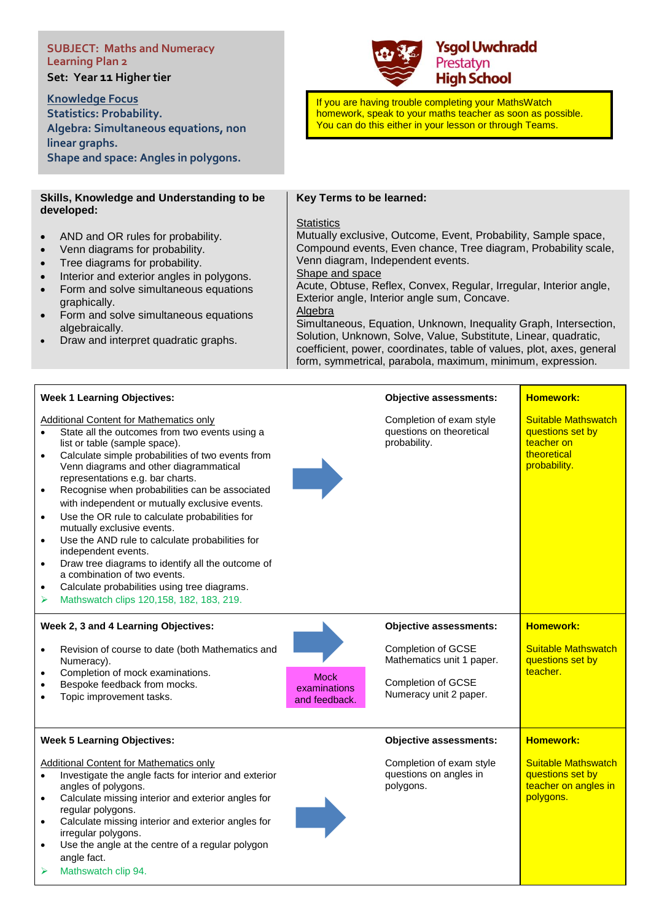# **SUBJECT: Maths and Numeracy Learning Plan 2**

**Set: Year 11 Higher tier** 

**Knowledge Focus Statistics: Probability.**

**linear graphs.**

## **Ysgol Uwchradd** Prestatyn **High School**

If you are having trouble completing your MathsWatch homework, speak to your maths teacher as soon as possible. You can do this either in your lesson or through Teams.

**Skills, Knowledge and Understanding to be developed:**

**Algebra: Simultaneous equations, non** 

**Shape and space: Angles in polygons.**

- AND and OR rules for probability.
- Venn diagrams for probability.
- Tree diagrams for probability.
- Interior and exterior angles in polygons.
- Form and solve simultaneous equations graphically.
- Form and solve simultaneous equations algebraically.
- Draw and interpret quadratic graphs.

#### **Key Terms to be learned:**

#### **Statistics**

Mutually exclusive, Outcome, Event, Probability, Sample space, Compound events, Even chance, Tree diagram, Probability scale, Venn diagram, Independent events.

Shape and space

Acute, Obtuse, Reflex, Convex, Regular, Irregular, Interior angle, Exterior angle, Interior angle sum, Concave. Algebra

Simultaneous, Equation, Unknown, Inequality Graph, Intersection, Solution, Unknown, Solve, Value, Substitute, Linear, quadratic, coefficient, power, coordinates, table of values, plot, axes, general form, symmetrical, parabola, maximum, minimum, expression.

| <b>Week 1 Learning Objectives:</b>                                                                                                                                                                                                                                                                                                                                                                                                                                                                                                                                                                                                                                                                                                                                                         |                             | <b>Objective assessments:</b>                                        | <b>Homework:</b>                                                                            |
|--------------------------------------------------------------------------------------------------------------------------------------------------------------------------------------------------------------------------------------------------------------------------------------------------------------------------------------------------------------------------------------------------------------------------------------------------------------------------------------------------------------------------------------------------------------------------------------------------------------------------------------------------------------------------------------------------------------------------------------------------------------------------------------------|-----------------------------|----------------------------------------------------------------------|---------------------------------------------------------------------------------------------|
| <b>Additional Content for Mathematics only</b><br>State all the outcomes from two events using a<br>list or table (sample space).<br>Calculate simple probabilities of two events from<br>$\bullet$<br>Venn diagrams and other diagrammatical<br>representations e.g. bar charts.<br>Recognise when probabilities can be associated<br>$\bullet$<br>with independent or mutually exclusive events.<br>Use the OR rule to calculate probabilities for<br>$\bullet$<br>mutually exclusive events.<br>Use the AND rule to calculate probabilities for<br>independent events.<br>Draw tree diagrams to identify all the outcome of<br>$\bullet$<br>a combination of two events.<br>Calculate probabilities using tree diagrams.<br>$\bullet$<br>Mathswatch clips 120, 158, 182, 183, 219.<br>➤ |                             | Completion of exam style<br>questions on theoretical<br>probability. | <b>Suitable Mathswatch</b><br>questions set by<br>teacher on<br>theoretical<br>probability. |
| Week 2, 3 and 4 Learning Objectives:<br>Revision of course to date (both Mathematics and<br>$\bullet$                                                                                                                                                                                                                                                                                                                                                                                                                                                                                                                                                                                                                                                                                      |                             | <b>Objective assessments:</b><br>Completion of GCSE                  | <b>Homework:</b><br><b>Suitable Mathswatch</b>                                              |
| Numeracy).                                                                                                                                                                                                                                                                                                                                                                                                                                                                                                                                                                                                                                                                                                                                                                                 |                             | Mathematics unit 1 paper.                                            | questions set by                                                                            |
| Completion of mock examinations.<br>Bespoke feedback from mocks.                                                                                                                                                                                                                                                                                                                                                                                                                                                                                                                                                                                                                                                                                                                           | <b>Mock</b><br>examinations | Completion of GCSE                                                   | teacher.                                                                                    |
| Topic improvement tasks.                                                                                                                                                                                                                                                                                                                                                                                                                                                                                                                                                                                                                                                                                                                                                                   | and feedback.               | Numeracy unit 2 paper.                                               |                                                                                             |
| <b>Week 5 Learning Objectives:</b>                                                                                                                                                                                                                                                                                                                                                                                                                                                                                                                                                                                                                                                                                                                                                         |                             | <b>Objective assessments:</b>                                        | <b>Homework:</b>                                                                            |
| Additional Content for Mathematics only<br>Investigate the angle facts for interior and exterior<br>angles of polygons.<br>Calculate missing interior and exterior angles for<br>regular polygons.<br>Calculate missing interior and exterior angles for<br>$\bullet$<br>irregular polygons.<br>Use the angle at the centre of a regular polygon<br>angle fact.<br>Mathswatch clip 94.<br>➤                                                                                                                                                                                                                                                                                                                                                                                                |                             | Completion of exam style<br>questions on angles in<br>polygons.      | <b>Suitable Mathswatch</b><br>questions set by<br>teacher on angles in<br>polygons.         |